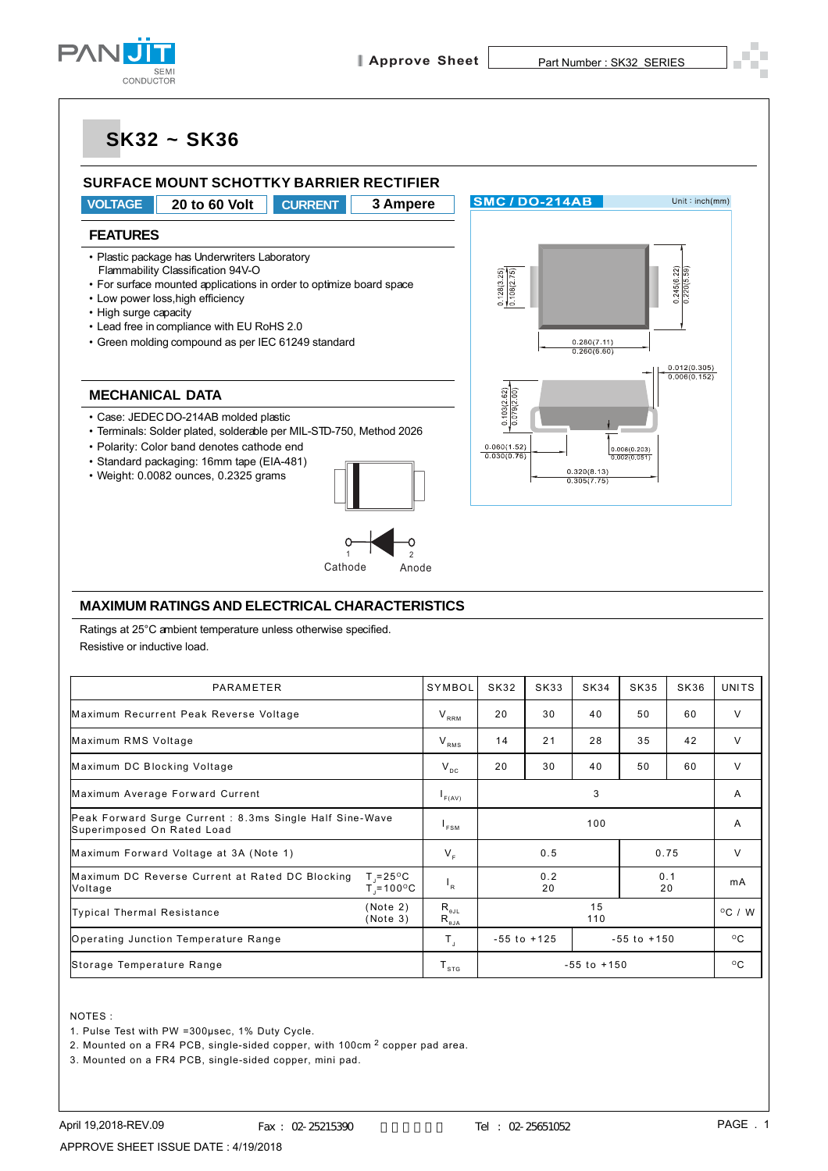



1. Pulse Test with PW =300µsec, 1% Duty Cycle.

2. Mounted on a FR4 PCB, single-sided copper, with 100cm 2 copper pad area.

3. Mounted on a FR4 PCB, single-sided copper, mini pad.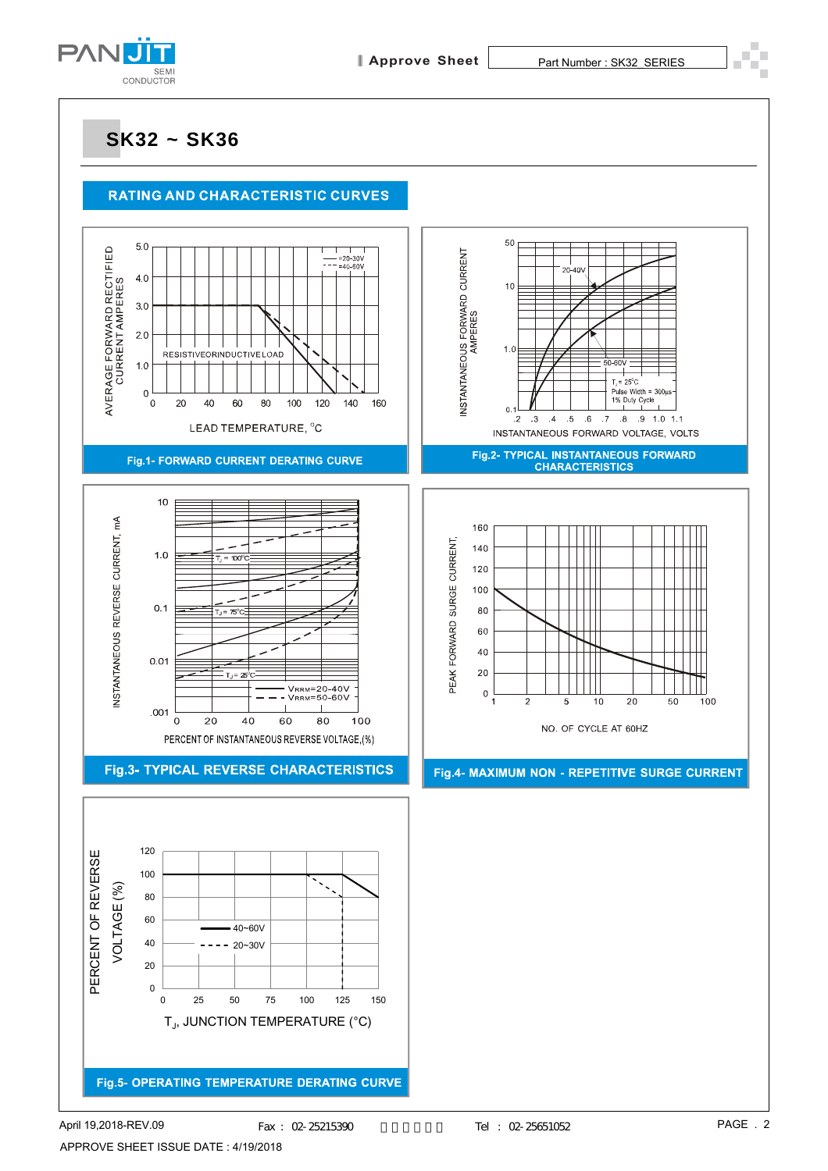

#### **RATING AND CHARACTERISTIC CURVES**

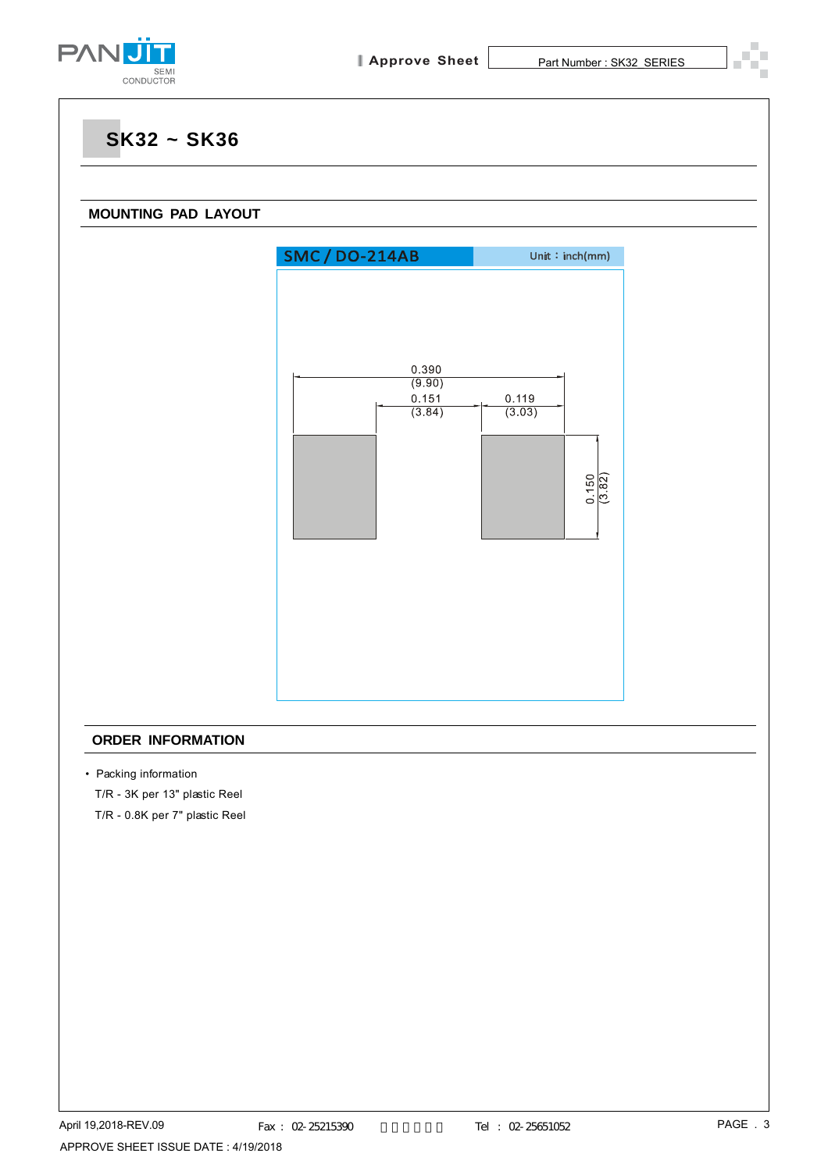

# **SK32 ~ SK36 MOUNTING PAD LAYOUT SMC/DO-214AB** Unit: $inch(mm)$ 0.390  $(9.90)$ 0.151 0.119  $(3.84)$  $(3.03)$  $\frac{0.150}{(3.82)}$

#### **ORDER INFORMATION**

• Packing information

T/R - 3K per 13" plastic Reel

T/R - 0.8K per 7" plastic Reel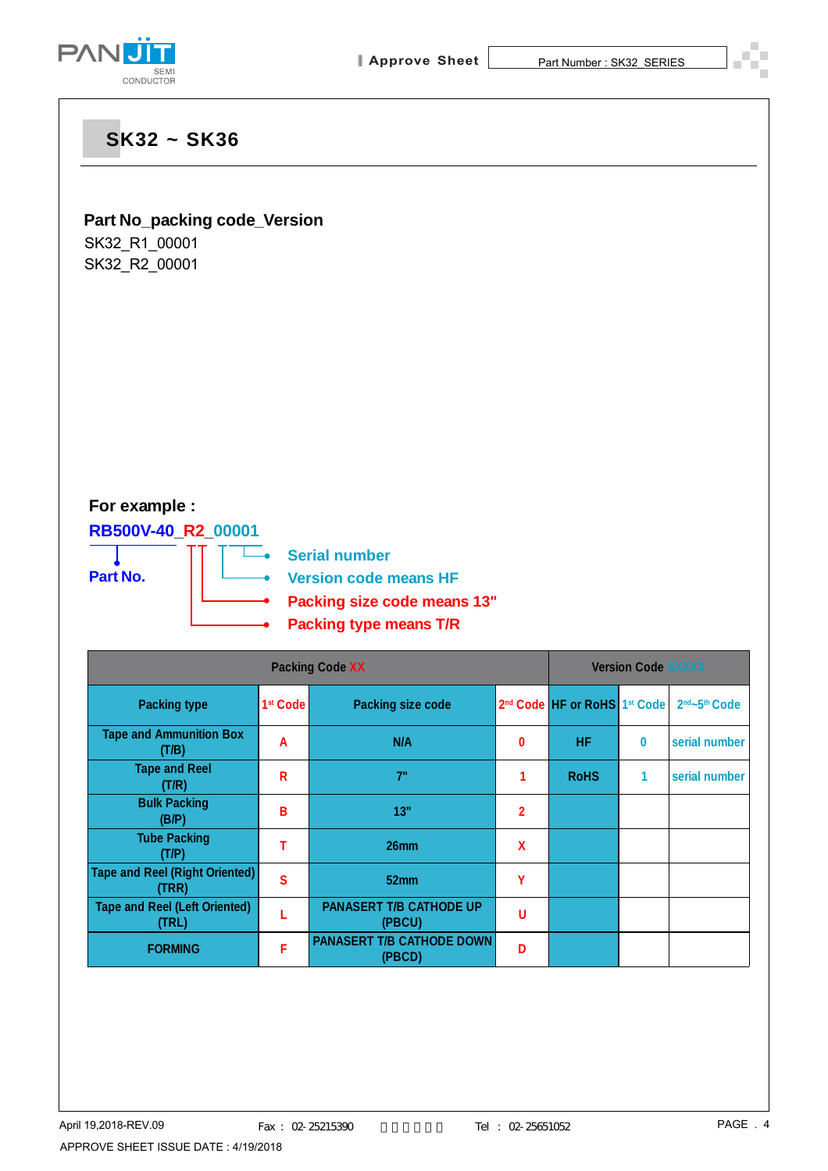

### **Part No\_packing code\_Version**

SK32\_R1\_00001 SK32\_R2\_00001

## **For example :**

**RB500V-40\_R2\_00001**

**Part No.**



**Version code means HF**

- **Packing size code means 13"**
- **Packing type means T/R**

| <b>Packing Code XX</b>                         |                      |                                            |                | <b>Version Code XXXXX</b>                            |   |                                       |
|------------------------------------------------|----------------------|--------------------------------------------|----------------|------------------------------------------------------|---|---------------------------------------|
| <b>Packing type</b>                            | 1 <sup>st</sup> Code | <b>Packing size code</b>                   |                | 2 <sup>nd</sup> Code HF or RoHS 1 <sup>st</sup> Code |   | 2 <sup>nd</sup> ~5 <sup>th</sup> Code |
| <b>Tape and Ammunition Box</b><br>(T/B)        | A                    | N/A                                        | 0              | <b>HF</b>                                            | 0 | serial number                         |
| <b>Tape and Reel</b><br>(T/R)                  | R                    | 7"                                         |                | <b>RoHS</b>                                          | 1 | serial number                         |
| <b>Bulk Packing</b><br>(B/P)                   | B                    | 13"                                        | $\overline{2}$ |                                                      |   |                                       |
| <b>Tube Packing</b><br>(T/P)                   | т                    | 26mm                                       | X              |                                                      |   |                                       |
| <b>Tape and Reel (Right Oriented)</b><br>(TRR) | $\mathbf{s}$         | 52mm                                       | γ              |                                                      |   |                                       |
| <b>Tape and Reel (Left Oriented)</b><br>(TRL)  |                      | <b>PANASERT T/B CATHODE UP</b><br>(PBCU)   | U              |                                                      |   |                                       |
| <b>FORMING</b>                                 | F                    | <b>PANASERT T/B CATHODE DOWN</b><br>(PBCD) | D              |                                                      |   |                                       |